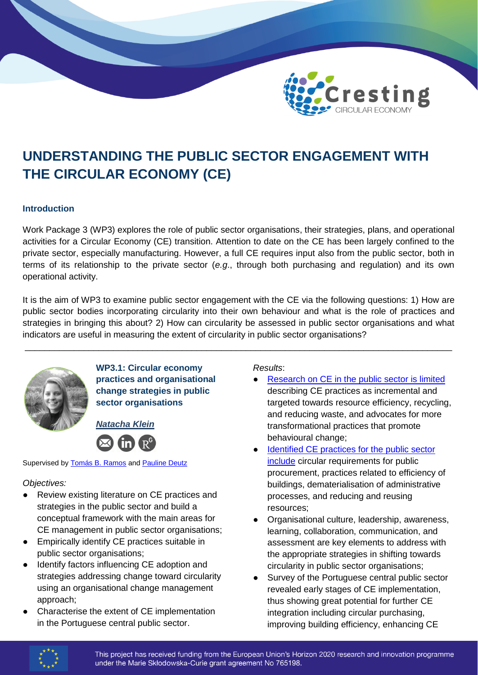

# **UNDERSTANDING THE PUBLIC SECTOR ENGAGEMENT WITH THE CIRCULAR ECONOMY (CE)**

#### **Introduction**

Work Package 3 (WP3) explores the role of public sector organisations, their strategies, plans, and operational activities for a Circular Economy (CE) transition. Attention to date on the CE has been largely confined to the private sector, especially manufacturing. However, a full CE requires input also from the public sector, both in terms of its relationship to the private sector (*e.g*., through both purchasing and regulation) and its own operational activity.

It is the aim of WP3 to examine public sector engagement with the CE via the following questions: 1) How are public sector bodies incorporating circularity into their own behaviour and what is the role of practices and strategies in bringing this about? 2) How can circularity be assessed in public sector organisations and what indicators are useful in measuring the extent of circularity in public sector organisations?

\_\_\_\_\_\_\_\_\_\_\_\_\_\_\_\_\_\_\_\_\_\_\_\_\_\_\_\_\_\_\_\_\_\_\_\_\_\_\_\_\_\_\_\_\_\_\_\_\_\_\_\_\_\_\_\_\_\_\_\_\_\_\_\_\_\_\_\_\_\_\_\_\_\_\_\_\_\_\_\_\_\_\_\_\_\_\_



**WP3.1: Circular economy practices and organisational change strategies in public sector organisations**

*Natacha Klein*



Supervised by [Tomás B. Ramos](mailto:tabr@fct.unl.pt) and [Pauline Deutz](mailto:P.Deutz@hull.ac.uk)

## *Objectives:*

- Review existing literature on CE practices and strategies in the public sector and build a conceptual framework with the main areas for CE management in public sector organisations;
- Empirically identify CE practices suitable in public sector organisations;
- Identify factors influencing CE adoption and strategies addressing change toward circularity using an organisational change management approach;
- Characterise the extent of CE implementation in the Portuguese central public sector.

*Results*:

- Research on CE [in the public sector is limited](https://www.mdpi.com/2071-1050/12/10/4181) describing CE practices as incremental and targeted towards resource efficiency, recycling, and reducing waste, and advocates for more transformational practices that promote behavioural change;
- Identified CE practices for the public sector [include](mailto:https://link.springer.com/article/10.1007/s43615-021-00044-x) circular requirements for public procurement, practices related to efficiency of buildings, dematerialisation of administrative processes, and reducing and reusing resources;
- Organisational culture, leadership, awareness, learning, collaboration, communication, and assessment are key elements to address with the appropriate strategies in shifting towards circularity in public sector organisations;
- Survey of the Portuguese central public sector revealed early stages of CE implementation, thus showing great potential for further CE integration including circular purchasing, improving building efficiency, enhancing CE



This project has received funding from the European Union's Horizon 2020 research and innovation programme under the Marie Skłodowska-Curie grant agreement No 765198.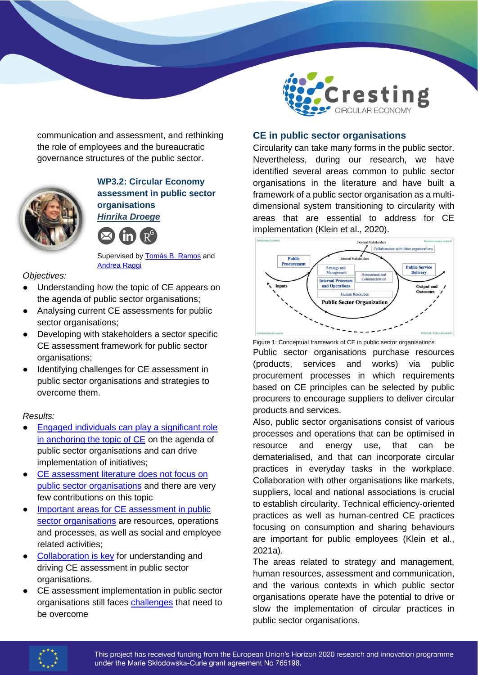

communication and assessment, and rethinking the role of employees and the bureaucratic governance structures of the public sector.



#### **WP3.2: Circular Economy assessment in public sector organisations**  *Hinrika Droege*



Supervised by **Tomás B. Ramos** and [Andrea Raggi](mailto:a.raggi@unich.it)

#### *Objectives:*

- Understanding how the topic of CE appears on the agenda of public sector organisations;
- Analysing current CE assessments for public sector organisations;
- Developing with stakeholders a sector specific CE assessment framework for public sector organisations;
- Identifying challenges for CE assessment in public sector organisations and strategies to overcome them.

#### *Results:*

- Engaged individuals can play a significant role [in anchoring the topic of CE](https://onlinelibrary.wiley.com/journal/10990836) on the agenda of public sector organisations and can drive implementation of initiatives;
- CE assessment literature does not focus on [public sector organisations](https://www.taylorfrancis.com/chapters/edit/10.4324/9781003158837-17/systematic-literature-review-circular-economy-performance-assessment-public-sector-organizations-hinrika-droege-andrea-raggi-tomás-ramos) and there are very few contributions on this topic
- Important areas for CE assessment in public [sector organisations](https://onlinelibrary.wiley.com/doi/10.1002/csr.2140) are resources, operations and processes, as well as social and employee related activities;
- [Collaboration is key](https://onlinelibrary.wiley.com/doi/10.1002/csr.2140) for understanding and driving CE assessment in public sector organisations.
- CE assessment implementation in public sector organisations still faces [challenges](https://www.mdpi.com/2071-1050/13/3/1182) that need to be overcome

#### **CE in public sector organisations**

Circularity can take many forms in the public sector. Nevertheless, during our research, we have identified several areas common to public sector organisations in the literature and have built a framework of a public sector organisation as a multidimensional system transitioning to circularity with areas that are essential to address for CE implementation (Klein et al., 2020).



Figure 1: Conceptual framework of CE in public sector organisations Public sector organisations purchase resources (products, services and works) via public procurement processes in which requirements based on CE principles can be selected by public procurers to encourage suppliers to deliver circular products and services.

Also, public sector organisations consist of various processes and operations that can be optimised in resource and energy use, that can be dematerialised, and that can incorporate circular practices in everyday tasks in the workplace. Collaboration with other organisations like markets, suppliers, local and national associations is crucial to establish circularity. Technical efficiency-oriented practices as well as human-centred CE practices focusing on consumption and sharing behaviours are important for public employees (Klein et al., 2021a).

The areas related to strategy and management, human resources, assessment and communication, and the various contexts in which public sector organisations operate have the potential to drive or slow the implementation of circular practices in public sector organisations.

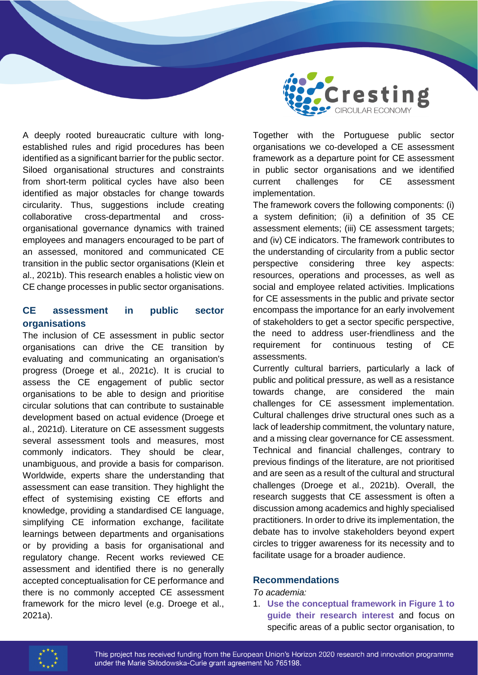

A deeply rooted bureaucratic culture with longestablished rules and rigid procedures has been identified as a significant barrier for the public sector. Siloed organisational structures and constraints from short-term political cycles have also been identified as major obstacles for change towards circularity. Thus, suggestions include creating collaborative cross-departmental and crossorganisational governance dynamics with trained employees and managers encouraged to be part of an assessed, monitored and communicated CE transition in the public sector organisations (Klein et al., 2021b). This research enables a holistic view on CE change processes in public sector organisations.

## **CE assessment in public sector organisations**

The inclusion of CE assessment in public sector organisations can drive the CE transition by evaluating and communicating an organisation's progress (Droege et al., 2021c). It is crucial to assess the CE engagement of public sector organisations to be able to design and prioritise circular solutions that can contribute to sustainable development based on actual evidence (Droege et al., 2021d). Literature on CE assessment suggests several assessment tools and measures, most commonly indicators. They should be clear, unambiguous, and provide a basis for comparison. Worldwide, experts share the understanding that assessment can ease transition. They highlight the effect of systemising existing CE efforts and knowledge, providing a standardised CE language, simplifying CE information exchange, facilitate learnings between departments and organisations or by providing a basis for organisational and regulatory change. Recent works reviewed CE assessment and identified there is no generally accepted conceptualisation for CE performance and there is no commonly accepted CE assessment framework for the micro level (e.g. Droege et al., 2021a).

Together with the Portuguese public sector organisations we co-developed a CE assessment framework as a departure point for CE assessment in public sector organisations and we identified current challenges for CE assessment implementation.

The framework covers the following components: (i) a system definition; (ii) a definition of 35 CE assessment elements; (iii) CE assessment targets; and (iv) CE indicators. The framework contributes to the understanding of circularity from a public sector perspective considering three key aspects: resources, operations and processes, as well as social and employee related activities. Implications for CE assessments in the public and private sector encompass the importance for an early involvement of stakeholders to get a sector specific perspective, the need to address user-friendliness and the requirement for continuous testing of CE assessments.

Currently cultural barriers, particularly a lack of public and political pressure, as well as a resistance towards change, are considered the main challenges for CE assessment implementation. Cultural challenges drive structural ones such as a lack of leadership commitment, the voluntary nature, and a missing clear governance for CE assessment. Technical and financial challenges, contrary to previous findings of the literature, are not prioritised and are seen as a result of the cultural and structural challenges (Droege et al., 2021b). Overall, the research suggests that CE assessment is often a discussion among academics and highly specialised practitioners. In order to drive its implementation, the debate has to involve stakeholders beyond expert circles to trigger awareness for its necessity and to facilitate usage for a broader audience.

## **Recommendations**

#### *To academia:*

1. **Use the conceptual framework in Figure 1 to guide their research interest** and focus on specific areas of a public sector organisation, to